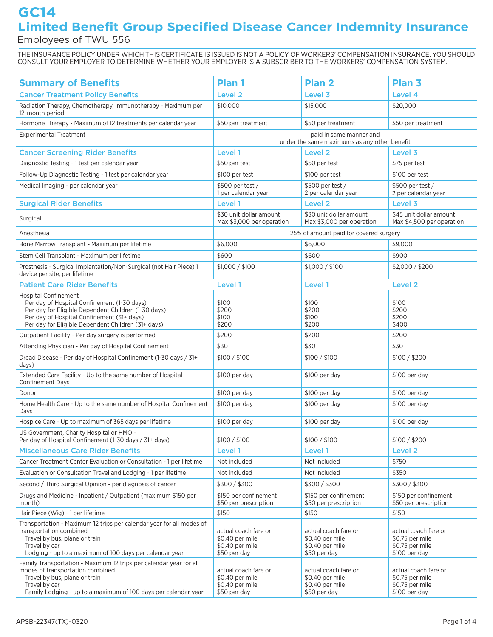# **GC14 Limited Benefit Group Specified Disease Cancer Indemnity Insurance** Employees of TWU 556

THE INSURANCE POLICY UNDER WHICH THIS CERTIFICATE IS ISSUED IS NOT A POLICY OF WORKERS' COMPENSATION INSURANCE. YOU SHOULD CONSULT YOUR EMPLOYER TO DETERMINE WHETHER YOUR EMPLOYER IS A SUBSCRIBER TO THE WORKERS' COMPENSATION SYSTEM.

| <b>Summary of Benefits</b>                                                                                                                                                                                                            | Plan 1                                                                     | <b>Plan 2</b>                                                              | Plan <sub>3</sub>                                                           |
|---------------------------------------------------------------------------------------------------------------------------------------------------------------------------------------------------------------------------------------|----------------------------------------------------------------------------|----------------------------------------------------------------------------|-----------------------------------------------------------------------------|
| <b>Cancer Treatment Policy Benefits</b>                                                                                                                                                                                               | <b>Level 2</b>                                                             | Level 3                                                                    | Level 4                                                                     |
| Radiation Therapy, Chemotherapy, Immunotherapy - Maximum per<br>12-month period                                                                                                                                                       | \$10,000                                                                   | \$15,000                                                                   | \$20,000                                                                    |
| Hormone Therapy - Maximum of 12 treatments per calendar year                                                                                                                                                                          | \$50 per treatment                                                         | \$50 per treatment                                                         | \$50 per treatment                                                          |
| <b>Experimental Treatment</b>                                                                                                                                                                                                         | paid in same manner and<br>under the same maximums as any other benefit    |                                                                            |                                                                             |
| <b>Cancer Screening Rider Benefits</b>                                                                                                                                                                                                | Level 1                                                                    | Level <sub>2</sub>                                                         | Level 3                                                                     |
| Diagnostic Testing - 1 test per calendar year                                                                                                                                                                                         | \$50 per test                                                              | \$50 per test                                                              | \$75 per test                                                               |
| Follow-Up Diagnostic Testing - 1 test per calendar year                                                                                                                                                                               | \$100 per test                                                             | \$100 per test                                                             | \$100 per test                                                              |
| Medical Imaging - per calendar year                                                                                                                                                                                                   | \$500 per test /<br>1 per calendar year                                    | \$500 per test /<br>2 per calendar year                                    | \$500 per test /<br>2 per calendar year                                     |
| <b>Surgical Rider Benefits</b>                                                                                                                                                                                                        | Level 1                                                                    | <b>Level 2</b>                                                             | Level 3                                                                     |
| Surgical                                                                                                                                                                                                                              | \$30 unit dollar amount<br>Max \$3,000 per operation                       | \$30 unit dollar amount<br>Max \$3,000 per operation                       | \$45 unit dollar amount<br>Max \$4,500 per operation                        |
| Anesthesia                                                                                                                                                                                                                            |                                                                            | 25% of amount paid for covered surgery                                     |                                                                             |
| Bone Marrow Transplant - Maximum per lifetime                                                                                                                                                                                         | \$6,000                                                                    | \$6,000                                                                    | \$9,000                                                                     |
| Stem Cell Transplant - Maximum per lifetime                                                                                                                                                                                           | \$600                                                                      | \$600                                                                      | \$900                                                                       |
| Prosthesis - Surgical Implantation/Non-Surgical (not Hair Piece) 1<br>device per site, per lifetime                                                                                                                                   | \$1,000 / \$100                                                            | \$1,000 / \$100                                                            | \$2,000 / \$200                                                             |
| <b>Patient Care Rider Benefits</b>                                                                                                                                                                                                    | Level 1                                                                    | Level 1                                                                    | Level <sub>2</sub>                                                          |
| <b>Hospital Confinement</b><br>Per day of Hospital Confinement (1-30 days)<br>Per day for Eligible Dependent Children (1-30 days)<br>Per day of Hospital Confinement (31+ days)<br>Per day for Eligible Dependent Children (31+ days) | \$100<br>\$200<br>\$100<br>\$200                                           | \$100<br>\$200<br>\$100<br>\$200                                           | \$100<br>\$200<br>\$200<br>\$400                                            |
| Outpatient Facility - Per day surgery is performed                                                                                                                                                                                    | \$200                                                                      | \$200                                                                      | \$200                                                                       |
| Attending Physician - Per day of Hospital Confinement                                                                                                                                                                                 | \$30                                                                       | \$30                                                                       | \$30                                                                        |
| Dread Disease - Per day of Hospital Confinement (1-30 days / 31+<br>days)                                                                                                                                                             | \$100 / \$100                                                              | \$100 / \$100                                                              | \$100 / \$200                                                               |
| Extended Care Facility - Up to the same number of Hospital<br><b>Confinement Days</b>                                                                                                                                                 | \$100 per day                                                              | \$100 per day                                                              | \$100 per day                                                               |
| Donor                                                                                                                                                                                                                                 | \$100 per day                                                              | \$100 per day                                                              | \$100 per day                                                               |
| Home Health Care - Up to the same number of Hospital Confinement<br>Days                                                                                                                                                              | \$100 per day                                                              | \$100 per day                                                              | \$100 per day                                                               |
| Hospice Care - Up to maximum of 365 days per lifetime                                                                                                                                                                                 | \$100 per day                                                              | \$100 per day                                                              | \$100 per day                                                               |
| US Government. Charity Hospital or HMO -<br>Per day of Hospital Confinement (1-30 days / 31+ days)                                                                                                                                    | \$100 / \$100                                                              | \$100 / \$100                                                              | \$100 / \$200                                                               |
| <b>Miscellaneous Care Rider Benefits</b>                                                                                                                                                                                              | Level 1                                                                    | Level 1                                                                    | <b>Level 2</b>                                                              |
| Cancer Treatment Center Evaluation or Consultation - 1 per lifetime                                                                                                                                                                   | Not included                                                               | Not included                                                               | \$750                                                                       |
| Evaluation or Consultation Travel and Lodging - 1 per lifetime                                                                                                                                                                        | Not included                                                               | Not included                                                               | \$350                                                                       |
| Second / Third Surgical Opinion - per diagnosis of cancer                                                                                                                                                                             | \$300/\$300                                                                | \$300/\$300                                                                | \$300/\$300                                                                 |
| Drugs and Medicine - Inpatient / Outpatient (maximum \$150 per<br>month)                                                                                                                                                              | \$150 per confinement<br>\$50 per prescription                             | \$150 per confinement<br>\$50 per prescription                             | \$150 per confinement<br>\$50 per prescription                              |
| Hair Piece (Wig) - 1 per lifetime                                                                                                                                                                                                     | \$150                                                                      | \$150                                                                      | \$150                                                                       |
| Transportation - Maximum 12 trips per calendar year for all modes of<br>transportation combined<br>Travel by bus, plane or train<br>Travel by car<br>Lodging - up to a maximum of 100 days per calendar year                          | actual coach fare or<br>\$0.40 per mile<br>\$0.40 per mile<br>\$50 per day | actual coach fare or<br>\$0.40 per mile<br>\$0.40 per mile<br>\$50 per day | actual coach fare or<br>\$0.75 per mile<br>\$0.75 per mile<br>\$100 per day |
| Family Transportation - Maximum 12 trips per calendar year for all<br>modes of transportation combined<br>Travel by bus, plane or train<br>Travel by car<br>Family Lodging - up to a maximum of 100 days per calendar year            | actual coach fare or<br>\$0.40 per mile<br>\$0.40 per mile<br>\$50 per day | actual coach fare or<br>\$0.40 per mile<br>\$0.40 per mile<br>\$50 per day | actual coach fare or<br>\$0.75 per mile<br>\$0.75 per mile<br>\$100 per day |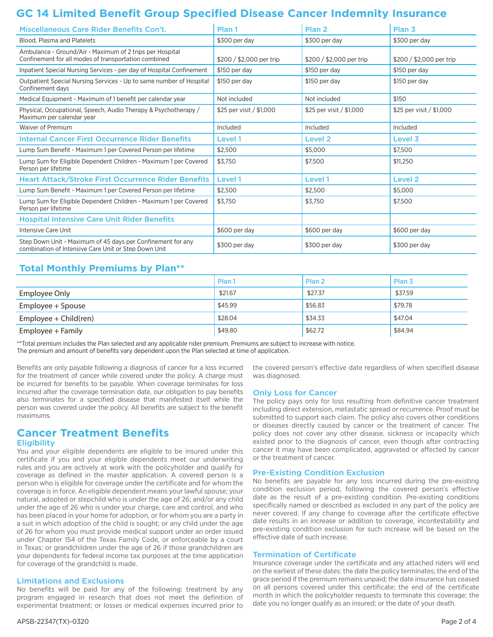# **GC 14 Limited Benefit Group Specified Disease Cancer Indemnity Insurance**

| Miscellaneous Care Rider Benefits Con't.                                                                            | Plan 1                   | Plan 2                   | Plan <sub>3</sub>        |
|---------------------------------------------------------------------------------------------------------------------|--------------------------|--------------------------|--------------------------|
| Blood. Plasma and Platelets                                                                                         | \$300 per day            | \$300 per day            | \$300 per day            |
| Ambulance - Ground/Air - Maximum of 2 trips per Hospital<br>Confinement for all modes of transportation combined    | \$200 / \$2,000 per trip | \$200 / \$2,000 per trip | \$200 / \$2,000 per trip |
| Inpatient Special Nursing Services - per day of Hospital Confinement                                                | \$150 per day            | \$150 per day            | \$150 per day            |
| Outpatient Special Nursing Services - Up to same number of Hospital<br>Confinement days                             | \$150 per day            | \$150 per day            | \$150 per day            |
| Medical Equipment - Maximum of 1 benefit per calendar year                                                          | Not included             | Not included             | \$150                    |
| Physical, Occupational, Speech, Audio Therapy & Psychotherapy /<br>Maximum per calendar year                        | \$25 per visit / \$1,000 | \$25 per visit / \$1,000 | \$25 per visit / \$1,000 |
| Waiver of Premium                                                                                                   | Included                 | Included                 | Included                 |
| <b>Internal Cancer First Occurrence Rider Benefits</b>                                                              | Level 1                  | Level <sub>2</sub>       | Level 3                  |
| Lump Sum Benefit - Maximum 1 per Covered Person per lifetime                                                        | \$2,500                  | \$5,000                  | \$7,500                  |
| Lump Sum for Eligible Dependent Children - Maximum 1 per Covered<br>Person per lifetime                             | \$3,750                  | \$7,500                  | \$11,250                 |
| <b>Heart Attack/Stroke First Occurrence Rider Benefits</b>                                                          | Level 1                  | Level 1                  | Level <sub>2</sub>       |
| Lump Sum Benefit - Maximum 1 per Covered Person per lifetime                                                        | \$2,500                  | \$2,500                  | \$5,000                  |
| Lump Sum for Eligible Dependent Children - Maximum 1 per Covered<br>Person per lifetime                             | \$3.750                  | \$3,750                  | \$7,500                  |
| <b>Hospital Intensive Care Unit Rider Benefits</b>                                                                  |                          |                          |                          |
| <b>Intensive Care Unit</b>                                                                                          | \$600 per day            | \$600 per day            | \$600 per day            |
| Step Down Unit - Maximum of 45 days per Confinement for any<br>combination of Intensive Care Unit or Step Down Unit | \$300 per day            | \$300 per day            | \$300 per day            |

# **Total Monthly Premiums by Plan\*\***

|                       | Plan <sub>1</sub> | Plan <sub>2</sub> | Plan <sub>3</sub> |
|-----------------------|-------------------|-------------------|-------------------|
| Employee Only         | \$21.67           | \$27.37           | \$37.59           |
| Employee + Spouse     | \$45.99           | \$56.83           | \$79.78           |
| Employee + Child(ren) | \$28.04           | \$34.33           | \$47.04           |
| Employee + Family     | \$49.80           | \$62.72           | \$84.94           |

\*\*Total premium includes the Plan selected and any applicable rider premium. Premiums are subject to increase with notice. The premium and amount of benefits vary dependent upon the Plan selected at time of application.

Benefits are only payable following a diagnosis of cancer for a loss incurred for the treatment of cancer while covered under the policy. A charge must be incurred for benefits to be payable. When coverage terminates for loss incurred after the coverage termination date, our obligation to pay benefits also terminates for a specified disease that manifested itself while the person was covered under the policy. All benefits are subject to the benefit maximums.

# **Cancer Treatment Benefits**

### **Eligibility**

You and your eligible dependents are eligible to be insured under this certificate if you and your eligible dependents meet our underwriting rules and you are actively at work with the policyholder and qualify for coverage as defined in the master application. A covered person is a person who is eligible for coverage under the certificate and for whom the coverage is in force. An eligible dependent means your lawful spouse; your natural, adopted or stepchild who is under the age of 26; and/or any child under the age of 26 who is under your charge, care and control, and who has been placed in your home for adoption, or for whom you are a party in a suit in which adoption of the child is sought; or any child under the age of 26 for whom you must provide medical support under an order issued under Chapter 154 of the Texas Family Code, or enforceable by a court in Texas; or grandchildren under the age of 26 if those grandchildren are your dependents for federal income tax purposes at the time application for coverage of the grandchild is made.

### Limitations and Exclusions

No benefits will be paid for any of the following: treatment by any program engaged in research that does not meet the definition of experimental treatment; or losses or medical expenses incurred prior to

the covered person's effective date regardless of when specified disease was diagnosed.

### Only Loss for Cancer

The policy pays only for loss resulting from definitive cancer treatment including direct extension, metastatic spread or recurrence. Proof must be submitted to support each claim. The policy also covers other conditions or diseases directly caused by cancer or the treatment of cancer. The policy does not cover any other disease, sickness or incapacity which existed prior to the diagnosis of cancer, even though after contracting cancer it may have been complicated, aggravated or affected by cancer or the treatment of cancer.

### Pre-Existing Condition Exclusion

No benefits are payable for any loss incurred during the pre-existing condition exclusion period, following the covered person's effective date as the result of a pre-existing condition. Pre-existing conditions specifically named or described as excluded in any part of the policy are never covered. If any change to coverage after the certificate effective date results in an increase or addition to coverage, incontestability and pre-existing condition exclusion for such increase will be based on the effective date of such increase.

#### Termination of Certificate

Insurance coverage under the certificate and any attached riders will end on the earliest of these dates: the date the policy terminates; the end of the grace period if the premium remains unpaid; the date insurance has ceased on all persons covered under this certificate; the end of the certificate month in which the policyholder requests to terminate this coverage; the date you no longer qualify as an insured; or the date of your death.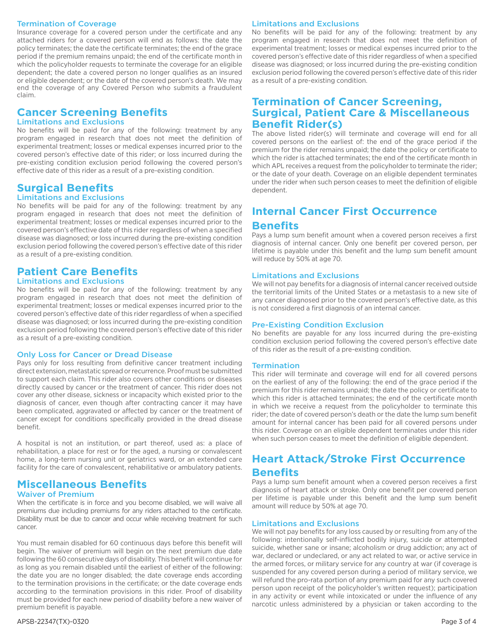#### Termination of Coverage

Insurance coverage for a covered person under the certificate and any attached riders for a covered person will end as follows: the date the policy terminates; the date the certificate terminates; the end of the grace period if the premium remains unpaid; the end of the certificate month in which the policyholder requests to terminate the coverage for an eligible dependent; the date a covered person no longer qualifies as an insured or eligible dependent; or the date of the covered person's death. We may end the coverage of any Covered Person who submits a fraudulent claim.

# **Cancer Screening Benefits**

### Limitations and Exclusions

No benefits will be paid for any of the following: treatment by any program engaged in research that does not meet the definition of experimental treatment; losses or medical expenses incurred prior to the covered person's effective date of this rider; or loss incurred during the pre-existing condition exclusion period following the covered person's effective date of this rider as a result of a pre-existing condition.

# **Surgical Benefits**

Limitations and Exclusions

No benefits will be paid for any of the following: treatment by any program engaged in research that does not meet the definition of experimental treatment; losses or medical expenses incurred prior to the covered person's effective date of this rider regardless of when a specified disease was diagnosed; or loss incurred during the pre-existing condition exclusion period following the covered person's effective date of this rider as a result of a pre-existing condition.

# **Patient Care Benefits**

### Limitations and Exclusions

No benefits will be paid for any of the following: treatment by any program engaged in research that does not meet the definition of experimental treatment; losses or medical expenses incurred prior to the covered person's effective date of this rider regardless of when a specified disease was diagnosed; or loss incurred during the pre-existing condition exclusion period following the covered person's effective date of this rider as a result of a pre-existing condition.

### Only Loss for Cancer or Dread Disease

Pays only for loss resulting from definitive cancer treatment including direct extension, metastatic spread or recurrence. Proof must be submitted to support each claim. This rider also covers other conditions or diseases directly caused by cancer or the treatment of cancer. This rider does not cover any other disease, sickness or incapacity which existed prior to the diagnosis of cancer, even though after contracting cancer it may have been complicated, aggravated or affected by cancer or the treatment of cancer except for conditions specifically provided in the dread disease benefit.

A hospital is not an institution, or part thereof, used as: a place of rehabilitation, a place for rest or for the aged, a nursing or convalescent home, a long-term nursing unit or geriatrics ward, or an extended care facility for the care of convalescent, rehabilitative or ambulatory patients.

# **Miscellaneous Benefits**

### Waiver of Premium

When the certificate is in force and you become disabled, we will waive all premiums due including premiums for any riders attached to the certificate. Disability must be due to cancer and occur while receiving treatment for such cancer.

You must remain disabled for 60 continuous days before this benefit will begin. The waiver of premium will begin on the next premium due date following the 60 consecutive days of disability. This benefit will continue for as long as you remain disabled until the earliest of either of the following: the date you are no longer disabled; the date coverage ends according to the termination provisions in the certificate; or the date coverage ends according to the termination provisions in this rider. Proof of disability must be provided for each new period of disability before a new waiver of premium benefit is payable.

#### APSB-22347(TX)-0320 Page 3 of 4

#### Limitations and Exclusions

No benefits will be paid for any of the following: treatment by any program engaged in research that does not meet the definition of experimental treatment; losses or medical expenses incurred prior to the covered person's effective date of this rider regardless of when a specified disease was diagnosed; or loss incurred during the pre-existing condition exclusion period following the covered person's effective date of this rider as a result of a pre-existing condition.

# **Termination of Cancer Screening, Surgical, Patient Care & Miscellaneous Benefit Rider(s)**

The above listed rider(s) will terminate and coverage will end for all covered persons on the earliest of: the end of the grace period if the premium for the rider remains unpaid; the date the policy or certificate to which the rider is attached terminates; the end of the certificate month in which APL receives a request from the policyholder to terminate the rider; or the date of your death. Coverage on an eligible dependent terminates under the rider when such person ceases to meet the definition of eligible dependent.

# **Internal Cancer First Occurrence Benefits**

Pays a lump sum benefit amount when a covered person receives a first diagnosis of internal cancer. Only one benefit per covered person, per lifetime is payable under this benefit and the lump sum benefit amount will reduce by 50% at age 70.

#### Limitations and Exclusions

We will not pay benefits for a diagnosis of internal cancer received outside the territorial limits of the United States or a metastasis to a new site of any cancer diagnosed prior to the covered person's effective date, as this is not considered a first diagnosis of an internal cancer.

#### Pre-Existing Condition Exclusion

No benefits are payable for any loss incurred during the pre-existing condition exclusion period following the covered person's effective date of this rider as the result of a pre-existing condition.

#### **Termination**

This rider will terminate and coverage will end for all covered persons on the earliest of any of the following: the end of the grace period if the premium for this rider remains unpaid; the date the policy or certificate to which this rider is attached terminates; the end of the certificate month in which we receive a request from the policyholder to terminate this rider; the date of covered person's death or the date the lump sum benefit amount for internal cancer has been paid for all covered persons under this rider. Coverage on an eligible dependent terminates under this rider when such person ceases to meet the definition of eligible dependent.

# **Heart Attack/Stroke First Occurrence**

## **Benefits**

Pays a lump sum benefit amount when a covered person receives a first diagnosis of heart attack or stroke. Only one benefit per covered person per lifetime is payable under this benefit and the lump sum benefit amount will reduce by 50% at age 70.

#### Limitations and Exclusions

We will not pay benefits for any loss caused by or resulting from any of the following: intentionally self-inflicted bodily injury, suicide or attempted suicide, whether sane or insane; alcoholism or drug addiction; any act of war, declared or undeclared, or any act related to war, or active service in the armed forces, or military service for any country at war (if coverage is suspended for any covered person during a period of military service, we will refund the pro-rata portion of any premium paid for any such covered person upon receipt of the policyholder's written request); participation in any activity or event while intoxicated or under the influence of any narcotic unless administered by a physician or taken according to the